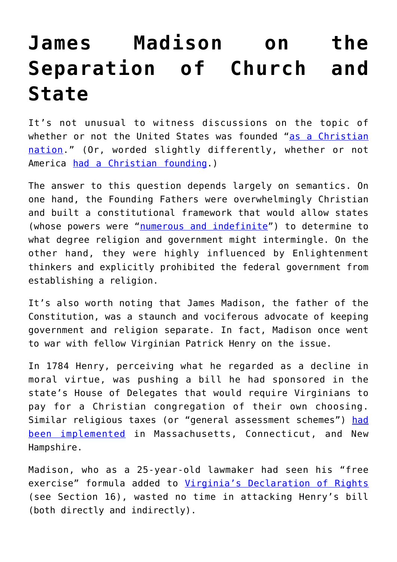## **[James Madison on the](https://intellectualtakeout.org/2016/07/james-madison-on-the-separation-of-church-and-state/) [Separation of Church and](https://intellectualtakeout.org/2016/07/james-madison-on-the-separation-of-church-and-state/) [State](https://intellectualtakeout.org/2016/07/james-madison-on-the-separation-of-church-and-state/)**

It's not unusual to witness discussions on the topic of whether or not the United States was founded "[as a Christian](http://www.cnn.com/2015/07/02/living/america-christian-nation/) [nation.](http://www.cnn.com/2015/07/02/living/america-christian-nation/)" (Or, worded slightly differently, whether or not America [had a Christian founding.](http://www.heritage.org/research/lecture/2011/06/did-america-have-a-christian-founding))

The answer to this question depends largely on semantics. On one hand, the Founding Fathers were overwhelmingly Christian and built a constitutional framework that would allow states (whose powers were "[numerous and indefinite"](http://www.goodreads.com/quotes/23893-the-powers-delegated-by-the-proposed-constitution-to-the-federal)) to determine to what degree religion and government might intermingle. On the other hand, they were highly influenced by Enlightenment thinkers and explicitly prohibited the federal government from establishing a religion.

It's also worth noting that James Madison, the father of the Constitution, was a staunch and vociferous advocate of keeping government and religion separate. In fact, Madison once went to war with fellow Virginian Patrick Henry on the issue.

In 1784 Henry, perceiving what he regarded as a decline in moral virtue, was pushing a bill he had sponsored in the state's House of Delegates that would require Virginians to pay for a Christian congregation of their own choosing. Similar religious taxes (or "general assessment schemes") [had](https://www.loc.gov/exhibits/religion/rel05.html) [been implemented](https://www.loc.gov/exhibits/religion/rel05.html) in Massachusetts, Connecticut, and New Hampshire.

Madison, who as a 25-year-old lawmaker had seen his "free exercise" formula added to [Virginia's Declaration of Rights](http://www.archives.gov/exhibits/charters/virginia_declaration_of_rights.html) (see Section 16), wasted no time in attacking Henry's bill (both directly and indirectly).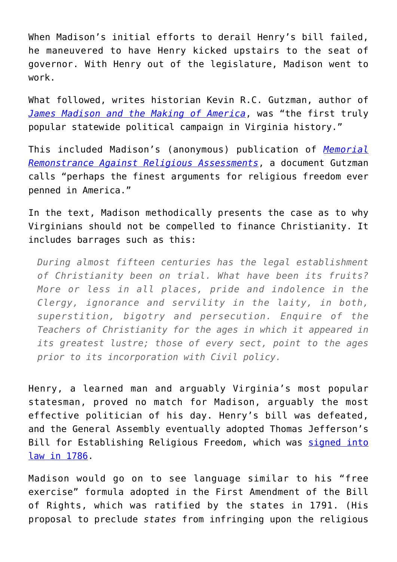When Madison's initial efforts to derail Henry's bill failed, he maneuvered to have Henry kicked upstairs to the seat of governor. With Henry out of the legislature, Madison went to work.

What followed, writes historian Kevin R.C. Gutzman, author of *[James Madison and the Making of America](http://amzn.to/29RLEwE)*, was "the first truly popular statewide political campaign in Virginia history."

This included Madison's (anonymous) publication of *[Memorial](http://founders.archives.gov/documents/Madison/01-08-02-0163) [Remonstrance Against Religious Assessments](http://founders.archives.gov/documents/Madison/01-08-02-0163)*, a document Gutzman calls "perhaps the finest arguments for religious freedom ever penned in America."

In the text, Madison methodically presents the case as to why Virginians should not be compelled to finance Christianity. It includes barrages such as this:

*During almost fifteen centuries has the legal establishment of Christianity been on trial. What have been its fruits? More or less in all places, pride and indolence in the Clergy, ignorance and servility in the laity, in both, superstition, bigotry and persecution. Enquire of the Teachers of Christianity for the ages in which it appeared in its greatest lustre; those of every sect, point to the ages prior to its incorporation with Civil policy.*

Henry, a learned man and arguably Virginia's most popular statesman, proved no match for Madison, arguably the most effective politician of his day. Henry's bill was defeated, and the General Assembly eventually adopted Thomas Jefferson's Bill for Establishing Religious Freedom, which was [signed into](http://www.heritage.org/initiatives/first-principles/primary-sources/virginia-act-establishing-religious-freedom) [law in 1786.](http://www.heritage.org/initiatives/first-principles/primary-sources/virginia-act-establishing-religious-freedom)

Madison would go on to see language similar to his "free exercise" formula adopted in the First Amendment of the Bill of Rights, which was ratified by the states in 1791. (His proposal to preclude *states* from infringing upon the religious